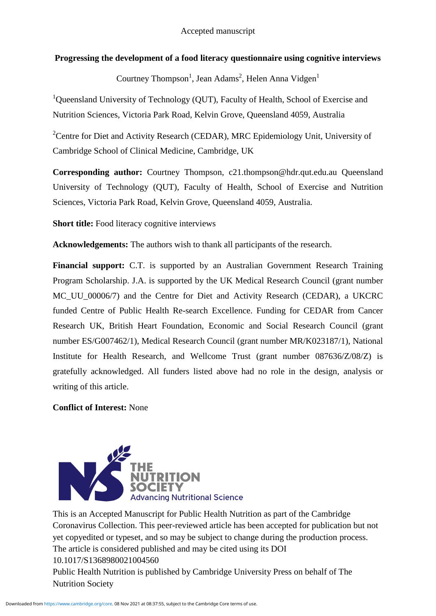# **Progressing the development of a food literacy questionnaire using cognitive interviews**

Courtney Thompson<sup>1</sup>, Jean Adams<sup>2</sup>, Helen Anna Vidgen<sup>1</sup>

<sup>1</sup>Queensland University of Technology (QUT), Faculty of Health, School of Exercise and Nutrition Sciences, Victoria Park Road, Kelvin Grove, Queensland 4059, Australia

<sup>2</sup>Centre for Diet and Activity Research (CEDAR), MRC Epidemiology Unit, University of Cambridge School of Clinical Medicine, Cambridge, UK

**Corresponding author:** Courtney Thompson, c21.thompson@hdr.qut.edu.au Queensland University of Technology (QUT), Faculty of Health, School of Exercise and Nutrition Sciences, Victoria Park Road, Kelvin Grove, Queensland 4059, Australia.

**Short title:** Food literacy cognitive interviews

**Acknowledgements:** The authors wish to thank all participants of the research.

**Financial support:** C.T. is supported by an Australian Government Research Training Program Scholarship. J.A. is supported by the UK Medical Research Council (grant number MC\_UU\_00006/7) and the Centre for Diet and Activity Research (CEDAR), a UKCRC funded Centre of Public Health Re-search Excellence. Funding for CEDAR from Cancer Research UK, British Heart Foundation, Economic and Social Research Council (grant number ES/G007462/1), Medical Research Council (grant number MR/K023187/1), National Institute for Health Research, and Wellcome Trust (grant number 087636/Z/08/Z) is gratefully acknowledged. All funders listed above had no role in the design, analysis or writing of this article.

# **Conflict of Interest:** None



This is an Accepted Manuscript for Public Health Nutrition as part of the Cambridge Coronavirus Collection. This peer-reviewed article has been accepted for publication but not yet copyedited or typeset, and so may be subject to change during the production process. The article is considered published and may be cited using its DOI 10.1017/S1368980021004560 Public Health Nutrition is published by Cambridge University Press on behalf of The Nutrition Society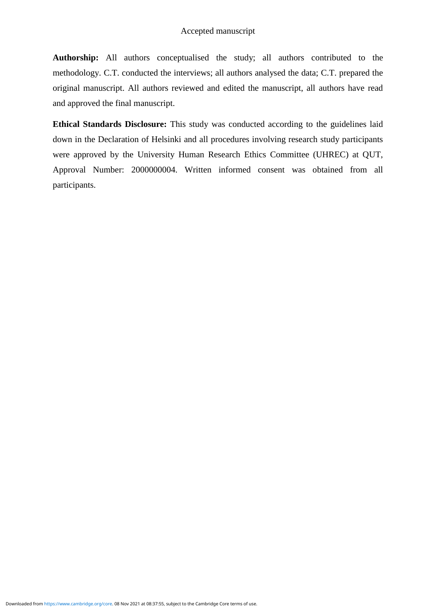**Authorship:** All authors conceptualised the study; all authors contributed to the methodology. C.T. conducted the interviews; all authors analysed the data; C.T. prepared the original manuscript. All authors reviewed and edited the manuscript, all authors have read and approved the final manuscript.

**Ethical Standards Disclosure:** This study was conducted according to the guidelines laid down in the Declaration of Helsinki and all procedures involving research study participants were approved by the University Human Research Ethics Committee (UHREC) at QUT, Approval Number: 2000000004. Written informed consent was obtained from all participants.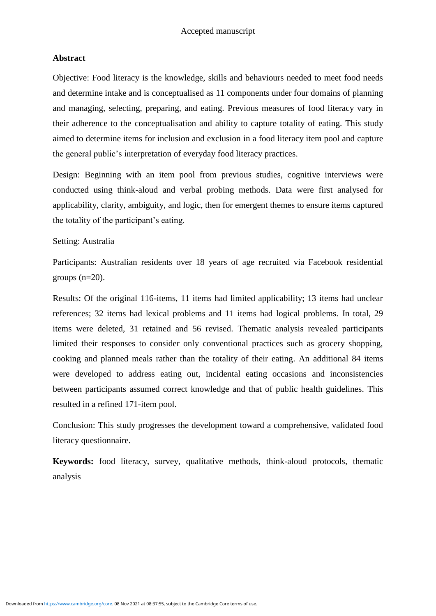## **Abstract**

Objective: Food literacy is the knowledge, skills and behaviours needed to meet food needs and determine intake and is conceptualised as 11 components under four domains of planning and managing, selecting, preparing, and eating. Previous measures of food literacy vary in their adherence to the conceptualisation and ability to capture totality of eating. This study aimed to determine items for inclusion and exclusion in a food literacy item pool and capture the general public's interpretation of everyday food literacy practices.

Design: Beginning with an item pool from previous studies, cognitive interviews were conducted using think-aloud and verbal probing methods. Data were first analysed for applicability, clarity, ambiguity, and logic, then for emergent themes to ensure items captured the totality of the participant's eating.

Setting: Australia

Participants: Australian residents over 18 years of age recruited via Facebook residential groups  $(n=20)$ .

Results: Of the original 116-items, 11 items had limited applicability; 13 items had unclear references; 32 items had lexical problems and 11 items had logical problems. In total, 29 items were deleted, 31 retained and 56 revised. Thematic analysis revealed participants limited their responses to consider only conventional practices such as grocery shopping, cooking and planned meals rather than the totality of their eating. An additional 84 items were developed to address eating out, incidental eating occasions and inconsistencies between participants assumed correct knowledge and that of public health guidelines. This resulted in a refined 171-item pool.

Conclusion: This study progresses the development toward a comprehensive, validated food literacy questionnaire.

**Keywords:** food literacy, survey, qualitative methods, think-aloud protocols, thematic analysis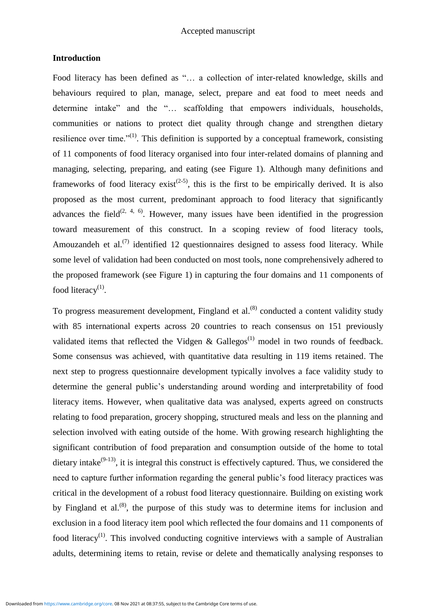### **Introduction**

Food literacy has been defined as "… a collection of inter-related knowledge, skills and behaviours required to plan, manage, select, prepare and eat food to meet needs and determine intake" and the "... scaffolding that empowers individuals, households, communities or nations to protect diet quality through change and strengthen dietary resilience over time."<sup>(1)</sup>. This definition is supported by a conceptual framework, consisting of 11 components of food literacy organised into four inter-related domains of planning and managing, selecting, preparing, and eating (see Figure 1). Although many definitions and frameworks of food literacy exist<sup> $(2-5)$ </sup>, this is the first to be empirically derived. It is also proposed as the most current, predominant approach to food literacy that significantly advances the field<sup> $(2, 4, 6)$ </sup>. However, many issues have been identified in the progression toward measurement of this construct. In a scoping review of food literacy tools, Amouzandeh et al.<sup> $(7)$ </sup> identified 12 questionnaires designed to assess food literacy. While some level of validation had been conducted on most tools, none comprehensively adhered to the proposed framework (see Figure 1) in capturing the four domains and 11 components of food literacy $(1)$ .

To progress measurement development, Fingland et al.<sup>(8)</sup> conducted a content validity study with 85 international experts across 20 countries to reach consensus on 151 previously validated items that reflected the Vidgen & Gallegos<sup> $(1)$ </sup> model in two rounds of feedback. Some consensus was achieved, with quantitative data resulting in 119 items retained. The next step to progress questionnaire development typically involves a face validity study to determine the general public's understanding around wording and interpretability of food literacy items. However, when qualitative data was analysed, experts agreed on constructs relating to food preparation, grocery shopping, structured meals and less on the planning and selection involved with eating outside of the home. With growing research highlighting the significant contribution of food preparation and consumption outside of the home to total dietary intake<sup> $(9-13)$ </sup>, it is integral this construct is effectively captured. Thus, we considered the need to capture further information regarding the general public's food literacy practices was critical in the development of a robust food literacy questionnaire. Building on existing work by Fingland et al.<sup> $(8)$ </sup>, the purpose of this study was to determine items for inclusion and exclusion in a food literacy item pool which reflected the four domains and 11 components of food literacy<sup>(1)</sup>. This involved conducting cognitive interviews with a sample of Australian adults, determining items to retain, revise or delete and thematically analysing responses to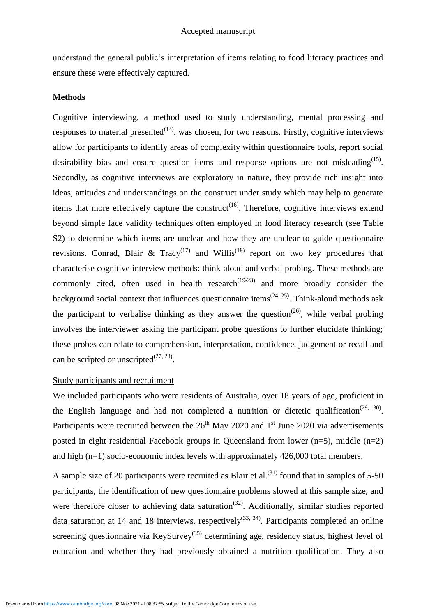understand the general public's interpretation of items relating to food literacy practices and ensure these were effectively captured.

#### **Methods**

Cognitive interviewing, a method used to study understanding, mental processing and responses to material presented $(14)$ , was chosen, for two reasons. Firstly, cognitive interviews allow for participants to identify areas of complexity within questionnaire tools, report social desirability bias and ensure question items and response options are not misleading $^{(15)}$ . Secondly, as cognitive interviews are exploratory in nature, they provide rich insight into ideas, attitudes and understandings on the construct under study which may help to generate items that more effectively capture the construct<sup> $(16)$ </sup>. Therefore, cognitive interviews extend beyond simple face validity techniques often employed in food literacy research (see Table S2) to determine which items are unclear and how they are unclear to guide questionnaire revisions. Conrad, Blair & Tracy<sup>(17)</sup> and Willis<sup>(18)</sup> report on two key procedures that characterise cognitive interview methods: think-aloud and verbal probing. These methods are commonly cited, often used in health research<sup> $(19-23)$ </sup> and more broadly consider the background social context that influences questionnaire items<sup> $(24, 25)$ </sup>. Think-aloud methods ask the participant to verbalise thinking as they answer the question<sup> $(26)$ </sup>, while verbal probing involves the interviewer asking the participant probe questions to further elucidate thinking; these probes can relate to comprehension, interpretation, confidence, judgement or recall and can be scripted or unscripted $^{(27, 28)}$ .

## Study participants and recruitment

We included participants who were residents of Australia, over 18 years of age, proficient in the English language and had not completed a nutrition or dietetic qualification<sup>(29, 30)</sup>. Participants were recruited between the  $26<sup>th</sup>$  May 2020 and 1<sup>st</sup> June 2020 via advertisements posted in eight residential Facebook groups in Queensland from lower  $(n=5)$ , middle  $(n=2)$ and high (n=1) socio-economic index levels with approximately 426,000 total members.

A sample size of 20 participants were recruited as Blair et al.<sup>(31)</sup> found that in samples of 5-50 participants, the identification of new questionnaire problems slowed at this sample size, and were therefore closer to achieving data saturation<sup> $(32)$ </sup>. Additionally, similar studies reported data saturation at 14 and 18 interviews, respectively<sup>(33, 34)</sup>. Participants completed an online screening questionnaire via KeySurvey<sup>(35)</sup> determining age, residency status, highest level of education and whether they had previously obtained a nutrition qualification. They also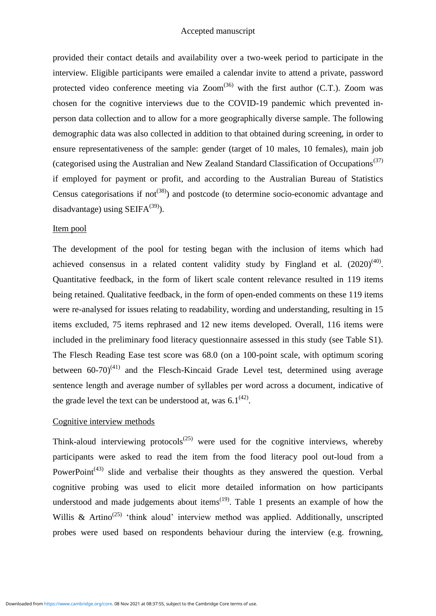provided their contact details and availability over a two-week period to participate in the interview. Eligible participants were emailed a calendar invite to attend a private, password protected video conference meeting via  $\text{Zoom}^{(36)}$  with the first author (C.T.). Zoom was chosen for the cognitive interviews due to the COVID-19 pandemic which prevented inperson data collection and to allow for a more geographically diverse sample. The following demographic data was also collected in addition to that obtained during screening, in order to ensure representativeness of the sample: gender (target of 10 males, 10 females), main job (categorised using the Australian and New Zealand Standard Classification of Occupations<sup>(37)</sup> if employed for payment or profit, and according to the Australian Bureau of Statistics Census categorisations if not<sup> $(38)$ </sup>) and postcode (to determine socio-economic advantage and disadvantage) using  $SEIFA^{(39)}$ .

## Item pool

The development of the pool for testing began with the inclusion of items which had achieved consensus in a related content validity study by Fingland et al.  $(2020)^{(40)}$ . Quantitative feedback, in the form of likert scale content relevance resulted in 119 items being retained. Qualitative feedback, in the form of open-ended comments on these 119 items were re-analysed for issues relating to readability, wording and understanding, resulting in 15 items excluded, 75 items rephrased and 12 new items developed. Overall, 116 items were included in the preliminary food literacy questionnaire assessed in this study (see Table S1). The Flesch Reading Ease test score was 68.0 (on a 100-point scale, with optimum scoring between  $60-70$ <sup>(41)</sup> and the Flesch-Kincaid Grade Level test, determined using average sentence length and average number of syllables per word across a document, indicative of the grade level the text can be understood at, was  $6.1^{(42)}$ .

#### Cognitive interview methods

Think-aloud interviewing protocols<sup> $(25)$ </sup> were used for the cognitive interviews, whereby participants were asked to read the item from the food literacy pool out-loud from a PowerPoint<sup> $(43)$ </sup> slide and verbalise their thoughts as they answered the question. Verbal cognitive probing was used to elicit more detailed information on how participants understood and made judgements about items<sup> $(19)$ </sup>. Table 1 presents an example of how the Willis & Artino<sup>(25)</sup> 'think aloud' interview method was applied. Additionally, unscripted probes were used based on respondents behaviour during the interview (e.g. frowning,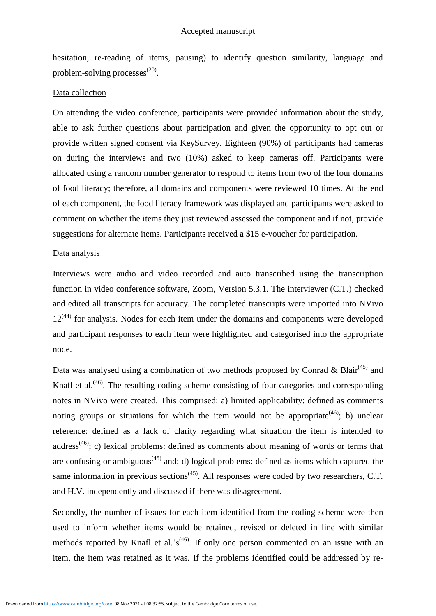hesitation, re-reading of items, pausing) to identify question similarity, language and problem-solving processes $^{(20)}$ .

#### Data collection

On attending the video conference, participants were provided information about the study, able to ask further questions about participation and given the opportunity to opt out or provide written signed consent via KeySurvey. Eighteen (90%) of participants had cameras on during the interviews and two (10%) asked to keep cameras off. Participants were allocated using a random number generator to respond to items from two of the four domains of food literacy; therefore, all domains and components were reviewed 10 times. At the end of each component, the food literacy framework was displayed and participants were asked to comment on whether the items they just reviewed assessed the component and if not, provide suggestions for alternate items. Participants received a \$15 e-voucher for participation.

#### Data analysis

Interviews were audio and video recorded and auto transcribed using the transcription function in video conference software, Zoom, Version 5.3.1. The interviewer (C.T.) checked and edited all transcripts for accuracy. The completed transcripts were imported into NVivo  $12<sup>(44)</sup>$  for analysis. Nodes for each item under the domains and components were developed and participant responses to each item were highlighted and categorised into the appropriate node.

Data was analysed using a combination of two methods proposed by Conrad & Blair<sup>(45)</sup> and Knafl et al.<sup>(46)</sup>. The resulting coding scheme consisting of four categories and corresponding notes in NVivo were created. This comprised: a) limited applicability: defined as comments noting groups or situations for which the item would not be appropriate<sup> $(46)$ </sup>; b) unclear reference: defined as a lack of clarity regarding what situation the item is intended to address<sup>(46)</sup>; c) lexical problems: defined as comments about meaning of words or terms that are confusing or ambiguous<sup> $(45)$ </sup> and; d) logical problems: defined as items which captured the same information in previous sections<sup> $(45)$ </sup>. All responses were coded by two researchers, C.T. and H.V. independently and discussed if there was disagreement.

Secondly, the number of issues for each item identified from the coding scheme were then used to inform whether items would be retained, revised or deleted in line with similar methods reported by Knafl et al.'s<sup>(46)</sup>. If only one person commented on an issue with an item, the item was retained as it was. If the problems identified could be addressed by re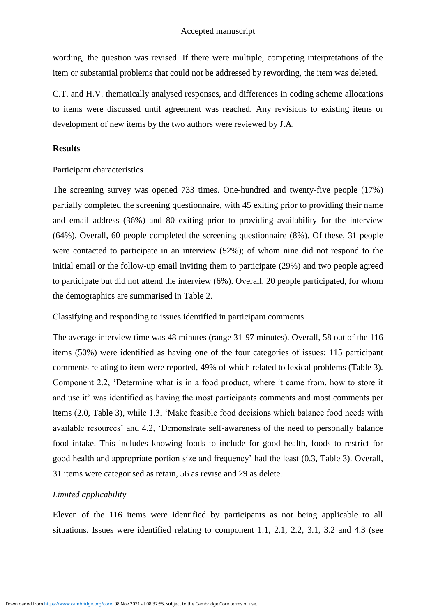wording, the question was revised. If there were multiple, competing interpretations of the item or substantial problems that could not be addressed by rewording, the item was deleted.

C.T. and H.V. thematically analysed responses, and differences in coding scheme allocations to items were discussed until agreement was reached. Any revisions to existing items or development of new items by the two authors were reviewed by J.A.

## **Results**

#### Participant characteristics

The screening survey was opened 733 times. One-hundred and twenty-five people (17%) partially completed the screening questionnaire, with 45 exiting prior to providing their name and email address (36%) and 80 exiting prior to providing availability for the interview (64%). Overall, 60 people completed the screening questionnaire (8%). Of these, 31 people were contacted to participate in an interview (52%); of whom nine did not respond to the initial email or the follow-up email inviting them to participate (29%) and two people agreed to participate but did not attend the interview (6%). Overall, 20 people participated, for whom the demographics are summarised in Table 2.

## Classifying and responding to issues identified in participant comments

The average interview time was 48 minutes (range 31-97 minutes). Overall, 58 out of the 116 items (50%) were identified as having one of the four categories of issues; 115 participant comments relating to item were reported, 49% of which related to lexical problems (Table 3). Component 2.2, 'Determine what is in a food product, where it came from, how to store it and use it' was identified as having the most participants comments and most comments per items (2.0, Table 3), while 1.3, 'Make feasible food decisions which balance food needs with available resources' and 4.2, 'Demonstrate self-awareness of the need to personally balance food intake. This includes knowing foods to include for good health, foods to restrict for good health and appropriate portion size and frequency' had the least (0.3, Table 3). Overall, 31 items were categorised as retain, 56 as revise and 29 as delete.

## *Limited applicability*

Eleven of the 116 items were identified by participants as not being applicable to all situations. Issues were identified relating to component 1.1, 2.1, 2.2, 3.1, 3.2 and 4.3 (see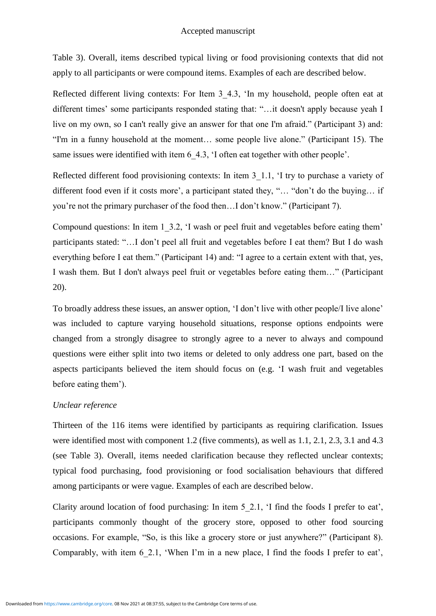Table 3). Overall, items described typical living or food provisioning contexts that did not apply to all participants or were compound items. Examples of each are described below.

Reflected different living contexts: For Item 3 4.3, 'In my household, people often eat at different times' some participants responded stating that: "…it doesn't apply because yeah I live on my own, so I can't really give an answer for that one I'm afraid." (Participant 3) and: "I'm in a funny household at the moment… some people live alone." (Participant 15). The same issues were identified with item 6–4.3, 'I often eat together with other people'.

Reflected different food provisioning contexts: In item 3 1.1, 'I try to purchase a variety of different food even if it costs more', a participant stated they, "… "don't do the buying… if you're not the primary purchaser of the food then…I don't know." (Participant 7).

Compound questions: In item 1\_3.2, 'I wash or peel fruit and vegetables before eating them' participants stated: "…I don't peel all fruit and vegetables before I eat them? But I do wash everything before I eat them." (Participant 14) and: "I agree to a certain extent with that, yes, I wash them. But I don't always peel fruit or vegetables before eating them…" (Participant 20).

To broadly address these issues, an answer option, 'I don't live with other people/I live alone' was included to capture varying household situations, response options endpoints were changed from a strongly disagree to strongly agree to a never to always and compound questions were either split into two items or deleted to only address one part, based on the aspects participants believed the item should focus on (e.g. 'I wash fruit and vegetables before eating them').

#### *Unclear reference*

Thirteen of the 116 items were identified by participants as requiring clarification. Issues were identified most with component 1.2 (five comments), as well as 1.1, 2.1, 2.3, 3.1 and 4.3 (see Table 3). Overall, items needed clarification because they reflected unclear contexts; typical food purchasing, food provisioning or food socialisation behaviours that differed among participants or were vague. Examples of each are described below.

Clarity around location of food purchasing: In item 5\_2.1, 'I find the foods I prefer to eat', participants commonly thought of the grocery store, opposed to other food sourcing occasions. For example, "So, is this like a grocery store or just anywhere?" (Participant 8). Comparably, with item 6\_2.1, 'When I'm in a new place, I find the foods I prefer to eat',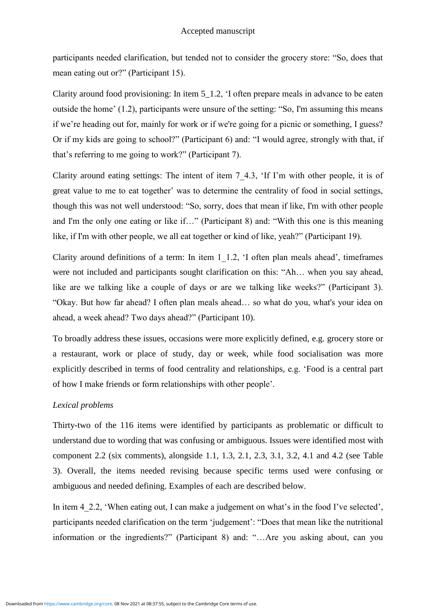participants needed clarification, but tended not to consider the grocery store: "So, does that mean eating out or?" (Participant 15).

Clarity around food provisioning: In item 5\_1.2, 'I often prepare meals in advance to be eaten outside the home' (1.2), participants were unsure of the setting: "So, I'm assuming this means if we're heading out for, mainly for work or if we're going for a picnic or something, I guess? Or if my kids are going to school?" (Participant 6) and: "I would agree, strongly with that, if that's referring to me going to work?" (Participant 7).

Clarity around eating settings: The intent of item 7\_4.3, 'If I'm with other people, it is of great value to me to eat together' was to determine the centrality of food in social settings, though this was not well understood: "So, sorry, does that mean if like, I'm with other people and I'm the only one eating or like if…" (Participant 8) and: "With this one is this meaning like, if I'm with other people, we all eat together or kind of like, yeah?" (Participant 19).

Clarity around definitions of a term: In item 1\_1.2, 'I often plan meals ahead', timeframes were not included and participants sought clarification on this: "Ah… when you say ahead, like are we talking like a couple of days or are we talking like weeks?" (Participant 3). "Okay. But how far ahead? I often plan meals ahead… so what do you, what's your idea on ahead, a week ahead? Two days ahead?" (Participant 10).

To broadly address these issues, occasions were more explicitly defined, e.g. grocery store or a restaurant, work or place of study, day or week, while food socialisation was more explicitly described in terms of food centrality and relationships, e.g. 'Food is a central part of how I make friends or form relationships with other people'.

## *Lexical problems*

Thirty-two of the 116 items were identified by participants as problematic or difficult to understand due to wording that was confusing or ambiguous. Issues were identified most with component 2.2 (six comments), alongside 1.1, 1.3, 2.1, 2.3, 3.1, 3.2, 4.1 and 4.2 (see Table 3). Overall, the items needed revising because specific terms used were confusing or ambiguous and needed defining. Examples of each are described below.

In item 4–2.2, 'When eating out, I can make a judgement on what's in the food I've selected', participants needed clarification on the term 'judgement': "Does that mean like the nutritional information or the ingredients?" (Participant 8) and: "…Are you asking about, can you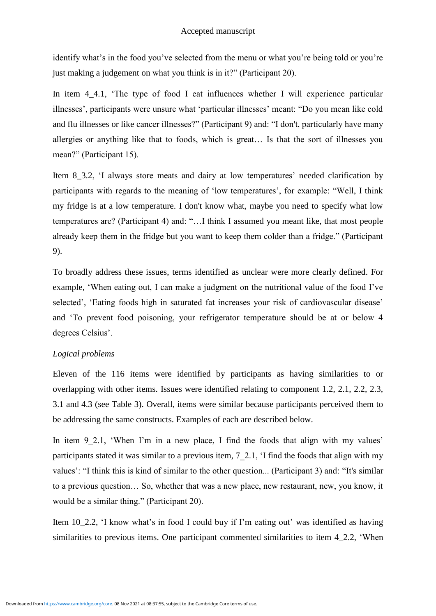identify what's in the food you've selected from the menu or what you're being told or you're just making a judgement on what you think is in it?" (Participant 20).

In item 4 4.1, 'The type of food I eat influences whether I will experience particular illnesses', participants were unsure what 'particular illnesses' meant: "Do you mean like cold and flu illnesses or like cancer illnesses?" (Participant 9) and: "I don't, particularly have many allergies or anything like that to foods, which is great… Is that the sort of illnesses you mean?" (Participant 15).

Item 8 3.2, 'I always store meats and dairy at low temperatures' needed clarification by participants with regards to the meaning of 'low temperatures', for example: "Well, I think my fridge is at a low temperature. I don't know what, maybe you need to specify what low temperatures are? (Participant 4) and: "…I think I assumed you meant like, that most people already keep them in the fridge but you want to keep them colder than a fridge." (Participant 9).

To broadly address these issues, terms identified as unclear were more clearly defined. For example, 'When eating out, I can make a judgment on the nutritional value of the food I've selected', 'Eating foods high in saturated fat increases your risk of cardiovascular disease' and 'To prevent food poisoning, your refrigerator temperature should be at or below 4 degrees Celsius'.

# *Logical problems*

Eleven of the 116 items were identified by participants as having similarities to or overlapping with other items. Issues were identified relating to component 1.2, 2.1, 2.2, 2.3, 3.1 and 4.3 (see Table 3). Overall, items were similar because participants perceived them to be addressing the same constructs. Examples of each are described below.

In item 9 2.1, 'When I'm in a new place, I find the foods that align with my values' participants stated it was similar to a previous item, 7\_2.1, 'I find the foods that align with my values': "I think this is kind of similar to the other question... (Participant 3) and: "It's similar to a previous question… So, whether that was a new place, new restaurant, new, you know, it would be a similar thing." (Participant 20).

Item 10\_2.2, 'I know what's in food I could buy if I'm eating out' was identified as having similarities to previous items. One participant commented similarities to item 4 2.2, 'When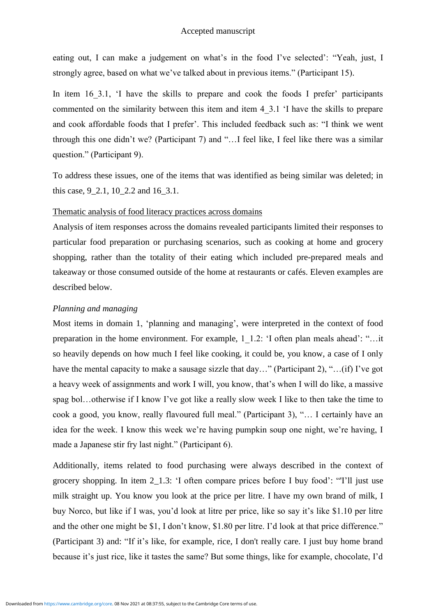eating out, I can make a judgement on what's in the food I've selected': "Yeah, just, I strongly agree, based on what we've talked about in previous items." (Participant 15).

In item 16 3.1, 'I have the skills to prepare and cook the foods I prefer' participants commented on the similarity between this item and item 4\_3.1 'I have the skills to prepare and cook affordable foods that I prefer'. This included feedback such as: "I think we went through this one didn't we? (Participant 7) and "…I feel like, I feel like there was a similar question." (Participant 9).

To address these issues, one of the items that was identified as being similar was deleted; in this case, 9 2.1, 10 2.2 and 16 3.1.

#### Thematic analysis of food literacy practices across domains

Analysis of item responses across the domains revealed participants limited their responses to particular food preparation or purchasing scenarios, such as cooking at home and grocery shopping, rather than the totality of their eating which included pre-prepared meals and takeaway or those consumed outside of the home at restaurants or cafés. Eleven examples are described below.

## *Planning and managing*

Most items in domain 1, 'planning and managing', were interpreted in the context of food preparation in the home environment. For example, 1\_1.2: 'I often plan meals ahead': "…it so heavily depends on how much I feel like cooking, it could be, you know, a case of I only have the mental capacity to make a sausage sizzle that day..." (Participant 2), "...(if) I've got a heavy week of assignments and work I will, you know, that's when I will do like, a massive spag bol…otherwise if I know I've got like a really slow week I like to then take the time to cook a good, you know, really flavoured full meal." (Participant 3), "… I certainly have an idea for the week. I know this week we're having pumpkin soup one night, we're having, I made a Japanese stir fry last night." (Participant 6).

Additionally, items related to food purchasing were always described in the context of grocery shopping. In item 2 1.3: 'I often compare prices before I buy food': "'I'll just use milk straight up. You know you look at the price per litre. I have my own brand of milk, I buy Norco, but like if I was, you'd look at litre per price, like so say it's like \$1.10 per litre and the other one might be \$1, I don't know, \$1.80 per litre. I'd look at that price difference." (Participant 3) and: "If it's like, for example, rice, I don't really care. I just buy home brand because it's just rice, like it tastes the same? But some things, like for example, chocolate, I'd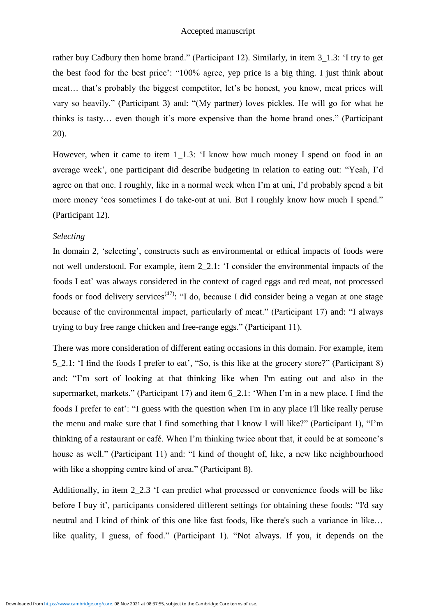rather buy Cadbury then home brand." (Participant 12). Similarly, in item 3\_1.3: 'I try to get the best food for the best price': "100% agree, yep price is a big thing. I just think about meat… that's probably the biggest competitor, let's be honest, you know, meat prices will vary so heavily." (Participant 3) and: "(My partner) loves pickles. He will go for what he thinks is tasty… even though it's more expensive than the home brand ones." (Participant 20).

However, when it came to item 1\_1.3: 'I know how much money I spend on food in an average week', one participant did describe budgeting in relation to eating out: "Yeah, I'd agree on that one. I roughly, like in a normal week when I'm at uni, I'd probably spend a bit more money 'cos sometimes I do take-out at uni. But I roughly know how much I spend." (Participant 12).

## *Selecting*

In domain 2, 'selecting', constructs such as environmental or ethical impacts of foods were not well understood. For example, item 2\_2.1: 'I consider the environmental impacts of the foods I eat' was always considered in the context of caged eggs and red meat, not processed foods or food delivery services<sup>(47)</sup>: "I do, because I did consider being a vegan at one stage because of the environmental impact, particularly of meat." (Participant 17) and: "I always trying to buy free range chicken and free-range eggs." (Participant 11).

There was more consideration of different eating occasions in this domain. For example, item 5\_2.1: 'I find the foods I prefer to eat', "So, is this like at the grocery store?" (Participant 8) and: "I'm sort of looking at that thinking like when I'm eating out and also in the supermarket, markets." (Participant 17) and item 6\_2.1: 'When I'm in a new place, I find the foods I prefer to eat': "I guess with the question when I'm in any place I'll like really peruse the menu and make sure that I find something that I know I will like?" (Participant 1), "I'm thinking of a restaurant or café. When I'm thinking twice about that, it could be at someone's house as well." (Participant 11) and: "I kind of thought of, like, a new like neighbourhood with like a shopping centre kind of area." (Participant 8).

Additionally, in item 2\_2.3 'I can predict what processed or convenience foods will be like before I buy it', participants considered different settings for obtaining these foods: "I'd say neutral and I kind of think of this one like fast foods, like there's such a variance in like… like quality, I guess, of food." (Participant 1). "Not always. If you, it depends on the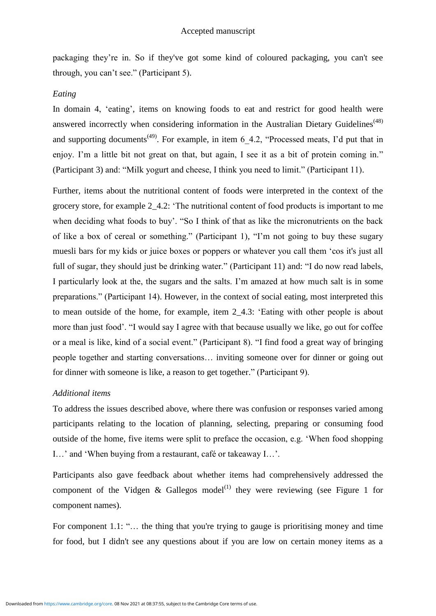packaging they're in. So if they've got some kind of coloured packaging, you can't see through, you can't see." (Participant 5).

#### *Eating*

In domain 4, 'eating', items on knowing foods to eat and restrict for good health were answered incorrectly when considering information in the Australian Dietary Guidelines<sup>(48)</sup> and supporting documents<sup>(49)</sup>. For example, in item  $6$  4.2, "Processed meats, I'd put that in enjoy. I'm a little bit not great on that, but again, I see it as a bit of protein coming in." (Participant 3) and: "Milk yogurt and cheese, I think you need to limit." (Participant 11).

Further, items about the nutritional content of foods were interpreted in the context of the grocery store, for example 2\_4.2: 'The nutritional content of food products is important to me when deciding what foods to buy'. "So I think of that as like the micronutrients on the back of like a box of cereal or something." (Participant 1), "I'm not going to buy these sugary muesli bars for my kids or juice boxes or poppers or whatever you call them 'cos it's just all full of sugar, they should just be drinking water." (Participant 11) and: "I do now read labels, I particularly look at the, the sugars and the salts. I'm amazed at how much salt is in some preparations." (Participant 14). However, in the context of social eating, most interpreted this to mean outside of the home, for example, item 2\_4.3: 'Eating with other people is about more than just food'. "I would say I agree with that because usually we like, go out for coffee or a meal is like, kind of a social event." (Participant 8). "I find food a great way of bringing people together and starting conversations… inviting someone over for dinner or going out for dinner with someone is like, a reason to get together." (Participant 9).

#### *Additional items*

To address the issues described above, where there was confusion or responses varied among participants relating to the location of planning, selecting, preparing or consuming food outside of the home, five items were split to preface the occasion, e.g. 'When food shopping I…' and 'When buying from a restaurant, café or takeaway I…'.

Participants also gave feedback about whether items had comprehensively addressed the component of the Vidgen & Gallegos model<sup>(1)</sup> they were reviewing (see Figure 1 for component names).

For component 1.1: "... the thing that you're trying to gauge is prioritising money and time for food, but I didn't see any questions about if you are low on certain money items as a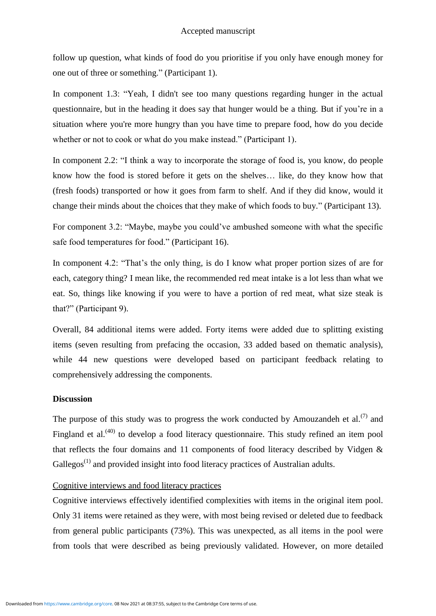follow up question, what kinds of food do you prioritise if you only have enough money for one out of three or something." (Participant 1).

In component 1.3: "Yeah, I didn't see too many questions regarding hunger in the actual questionnaire, but in the heading it does say that hunger would be a thing. But if you're in a situation where you're more hungry than you have time to prepare food, how do you decide whether or not to cook or what do you make instead." (Participant 1).

In component 2.2: "I think a way to incorporate the storage of food is, you know, do people know how the food is stored before it gets on the shelves… like, do they know how that (fresh foods) transported or how it goes from farm to shelf. And if they did know, would it change their minds about the choices that they make of which foods to buy." (Participant 13).

For component 3.2: "Maybe, maybe you could've ambushed someone with what the specific safe food temperatures for food." (Participant 16).

In component 4.2: "That's the only thing, is do I know what proper portion sizes of are for each, category thing? I mean like, the recommended red meat intake is a lot less than what we eat. So, things like knowing if you were to have a portion of red meat, what size steak is that?" (Participant 9).

Overall, 84 additional items were added. Forty items were added due to splitting existing items (seven resulting from prefacing the occasion, 33 added based on thematic analysis), while 44 new questions were developed based on participant feedback relating to comprehensively addressing the components.

## **Discussion**

The purpose of this study was to progress the work conducted by Amouzandeh et al.<sup>(7)</sup> and Fingland et al.<sup>(40)</sup> to develop a food literacy questionnaire. This study refined an item pool that reflects the four domains and 11 components of food literacy described by Vidgen & Gallegos<sup>(1)</sup> and provided insight into food literacy practices of Australian adults.

# Cognitive interviews and food literacy practices

Cognitive interviews effectively identified complexities with items in the original item pool. Only 31 items were retained as they were, with most being revised or deleted due to feedback from general public participants (73%). This was unexpected, as all items in the pool were from tools that were described as being previously validated. However, on more detailed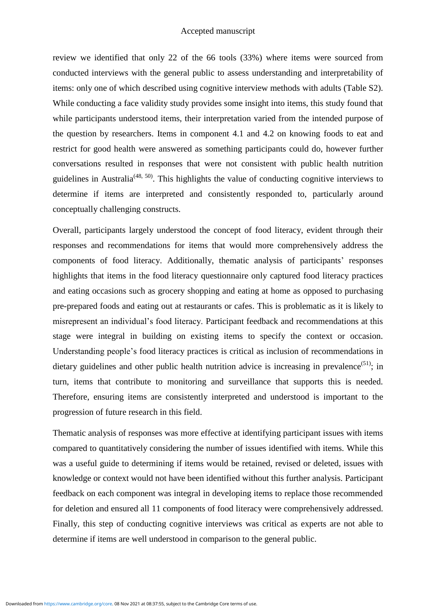review we identified that only 22 of the 66 tools (33%) where items were sourced from conducted interviews with the general public to assess understanding and interpretability of items: only one of which described using cognitive interview methods with adults (Table S2). While conducting a face validity study provides some insight into items, this study found that while participants understood items, their interpretation varied from the intended purpose of the question by researchers. Items in component 4.1 and 4.2 on knowing foods to eat and restrict for good health were answered as something participants could do, however further conversations resulted in responses that were not consistent with public health nutrition guidelines in Australia<sup>(48, 50)</sup>. This highlights the value of conducting cognitive interviews to determine if items are interpreted and consistently responded to, particularly around conceptually challenging constructs.

Overall, participants largely understood the concept of food literacy, evident through their responses and recommendations for items that would more comprehensively address the components of food literacy. Additionally, thematic analysis of participants' responses highlights that items in the food literacy questionnaire only captured food literacy practices and eating occasions such as grocery shopping and eating at home as opposed to purchasing pre-prepared foods and eating out at restaurants or cafes. This is problematic as it is likely to misrepresent an individual's food literacy. Participant feedback and recommendations at this stage were integral in building on existing items to specify the context or occasion. Understanding people's food literacy practices is critical as inclusion of recommendations in dietary guidelines and other public health nutrition advice is increasing in prevalence<sup>(51)</sup>; in turn, items that contribute to monitoring and surveillance that supports this is needed. Therefore, ensuring items are consistently interpreted and understood is important to the progression of future research in this field.

Thematic analysis of responses was more effective at identifying participant issues with items compared to quantitatively considering the number of issues identified with items. While this was a useful guide to determining if items would be retained, revised or deleted, issues with knowledge or context would not have been identified without this further analysis. Participant feedback on each component was integral in developing items to replace those recommended for deletion and ensured all 11 components of food literacy were comprehensively addressed. Finally, this step of conducting cognitive interviews was critical as experts are not able to determine if items are well understood in comparison to the general public.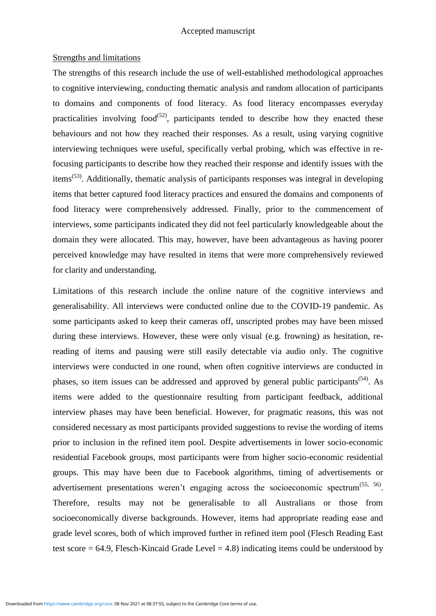#### Strengths and limitations

The strengths of this research include the use of well-established methodological approaches to cognitive interviewing, conducting thematic analysis and random allocation of participants to domains and components of food literacy. As food literacy encompasses everyday practicalities involving food<sup> $(52)$ </sup>, participants tended to describe how they enacted these behaviours and not how they reached their responses. As a result, using varying cognitive interviewing techniques were useful, specifically verbal probing, which was effective in refocusing participants to describe how they reached their response and identify issues with the items<sup>(53)</sup>. Additionally, thematic analysis of participants responses was integral in developing items that better captured food literacy practices and ensured the domains and components of food literacy were comprehensively addressed. Finally, prior to the commencement of interviews, some participants indicated they did not feel particularly knowledgeable about the domain they were allocated. This may, however, have been advantageous as having poorer perceived knowledge may have resulted in items that were more comprehensively reviewed for clarity and understanding.

Limitations of this research include the online nature of the cognitive interviews and generalisability. All interviews were conducted online due to the COVID-19 pandemic. As some participants asked to keep their cameras off, unscripted probes may have been missed during these interviews. However, these were only visual (e.g. frowning) as hesitation, rereading of items and pausing were still easily detectable via audio only. The cognitive interviews were conducted in one round, when often cognitive interviews are conducted in phases, so item issues can be addressed and approved by general public participants<sup>(54)</sup>. As items were added to the questionnaire resulting from participant feedback, additional interview phases may have been beneficial. However, for pragmatic reasons, this was not considered necessary as most participants provided suggestions to revise the wording of items prior to inclusion in the refined item pool. Despite advertisements in lower socio-economic residential Facebook groups, most participants were from higher socio-economic residential groups. This may have been due to Facebook algorithms, timing of advertisements or advertisement presentations weren't engaging across the socioeconomic spectrum<sup> $(55, 56)$ </sup>. Therefore, results may not be generalisable to all Australians or those from socioeconomically diverse backgrounds. However, items had appropriate reading ease and grade level scores, both of which improved further in refined item pool (Flesch Reading East test score = 64.9, Flesch-Kincaid Grade Level = 4.8) indicating items could be understood by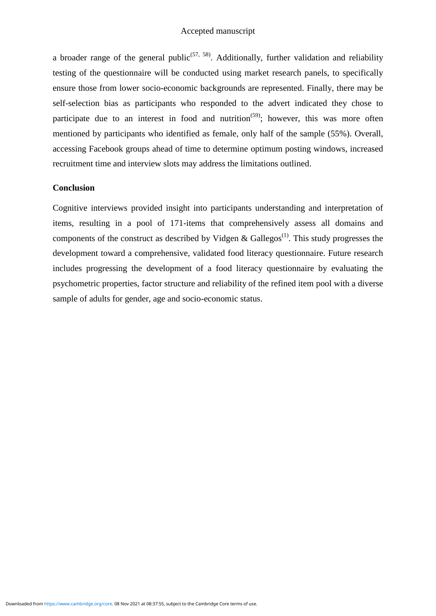a broader range of the general public<sup> $(57, 58)$ </sup>. Additionally, further validation and reliability testing of the questionnaire will be conducted using market research panels, to specifically ensure those from lower socio-economic backgrounds are represented. Finally, there may be self-selection bias as participants who responded to the advert indicated they chose to participate due to an interest in food and nutrition<sup> $(59)$ </sup>; however, this was more often mentioned by participants who identified as female, only half of the sample (55%). Overall, accessing Facebook groups ahead of time to determine optimum posting windows, increased recruitment time and interview slots may address the limitations outlined.

## **Conclusion**

Cognitive interviews provided insight into participants understanding and interpretation of items, resulting in a pool of 171-items that comprehensively assess all domains and components of the construct as described by Vidgen & Gallegos<sup>(1)</sup>. This study progresses the development toward a comprehensive, validated food literacy questionnaire. Future research includes progressing the development of a food literacy questionnaire by evaluating the psychometric properties, factor structure and reliability of the refined item pool with a diverse sample of adults for gender, age and socio-economic status.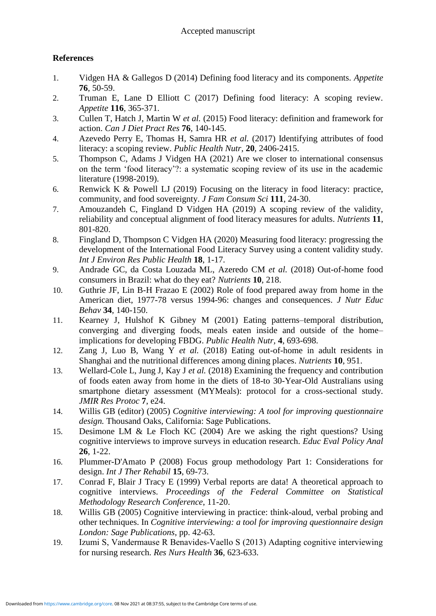# **References**

- 1. Vidgen HA & Gallegos D (2014) Defining food literacy and its components. *Appetite* **76**, 50-59.
- 2. Truman E, Lane D Elliott C (2017) Defining food literacy: A scoping review. *Appetite* **116**, 365-371.
- 3. Cullen T, Hatch J, Martin W *et al.* (2015) Food literacy: definition and framework for action. *Can J Diet Pract Res* **76**, 140-145.
- 4. Azevedo Perry E, Thomas H, Samra HR *et al.* (2017) Identifying attributes of food literacy: a scoping review. *Public Health Nutr,* **20**, 2406-2415.
- 5. Thompson C, Adams J Vidgen HA (2021) Are we closer to international consensus on the term 'food literacy'?: a systematic scoping review of its use in the academic literature (1998-2019).
- 6. Renwick K & Powell LJ (2019) Focusing on the literacy in food literacy: practice, community, and food sovereignty. *J Fam Consum Sci* **111**, 24-30.
- 7. Amouzandeh C, Fingland D Vidgen HA (2019) A scoping review of the validity, reliability and conceptual alignment of food literacy measures for adults. *Nutrients* **11**, 801-820.
- 8. Fingland D, Thompson C Vidgen HA (2020) Measuring food literacy: progressing the development of the International Food Literacy Survey using a content validity study. *Int J Environ Res Public Health* **18**, 1-17.
- 9. Andrade GC, da Costa Louzada ML, Azeredo CM *et al.* (2018) Out-of-home food consumers in Brazil: what do they eat? *Nutrients* **10**, 218.
- 10. Guthrie JF, Lin B-H Frazao E (2002) Role of food prepared away from home in the American diet, 1977-78 versus 1994-96: changes and consequences. *J Nutr Educ Behav* **34**, 140-150.
- 11. Kearney J, Hulshof K Gibney M (2001) Eating patterns–temporal distribution, converging and diverging foods, meals eaten inside and outside of the home– implications for developing FBDG. *Public Health Nutr,* **4**, 693-698.
- 12. Zang J, Luo B, Wang Y *et al.* (2018) Eating out-of-home in adult residents in Shanghai and the nutritional differences among dining places. *Nutrients* **10**, 951.
- 13. Wellard-Cole L, Jung J, Kay J *et al.* (2018) Examining the frequency and contribution of foods eaten away from home in the diets of 18-to 30-Year-Old Australians using smartphone dietary assessment (MYMeals): protocol for a cross-sectional study. *JMIR Res Protoc* **7**, e24.
- 14. Willis GB (editor) (2005) *Cognitive interviewing: A tool for improving questionnaire design.* Thousand Oaks, California: Sage Publications.
- 15. Desimone LM & Le Floch KC (2004) Are we asking the right questions? Using cognitive interviews to improve surveys in education research. *Educ Eval Policy Anal* **26**, 1-22.
- 16. Plummer-D'Amato P (2008) Focus group methodology Part 1: Considerations for design. *Int J Ther Rehabil* **15**, 69-73.
- 17. Conrad F, Blair J Tracy E (1999) Verbal reports are data! A theoretical approach to cognitive interviews. *Proceedings of the Federal Committee on Statistical Methodology Research Conference*, 11-20.
- 18. Willis GB (2005) Cognitive interviewing in practice: think-aloud, verbal probing and other techniques. In *Cognitive interviewing: a tool for improving questionnaire design London: Sage Publications*, pp. 42-63.
- 19. Izumi S, Vandermause R Benavides‐Vaello S (2013) Adapting cognitive interviewing for nursing research. *Res Nurs Health* **36**, 623-633.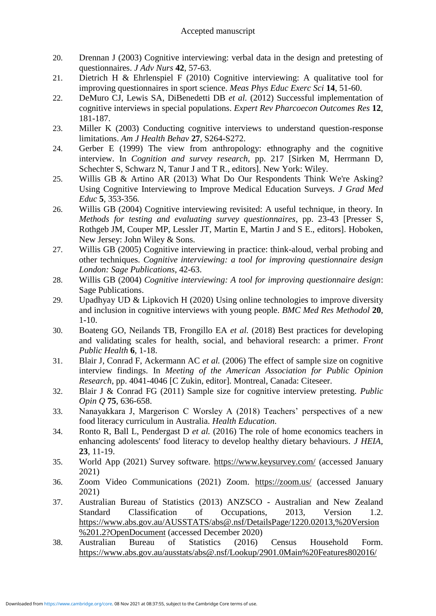- 20. Drennan J (2003) Cognitive interviewing: verbal data in the design and pretesting of questionnaires. *J Adv Nurs* **42**, 57-63.
- 21. Dietrich H & Ehrlenspiel F (2010) Cognitive interviewing: A qualitative tool for improving questionnaires in sport science. *Meas Phys Educ Exerc Sci* **14**, 51-60.
- 22. DeMuro CJ, Lewis SA, DiBenedetti DB *et al.* (2012) Successful implementation of cognitive interviews in special populations. *Expert Rev Pharcoecon Outcomes Res* **12**, 181-187.
- 23. Miller K (2003) Conducting cognitive interviews to understand question-response limitations. *Am J Health Behav* **27**, S264-S272.
- 24. Gerber E (1999) The view from anthropology: ethnography and the cognitive interview. In *Cognition and survey research*, pp. 217 [Sirken M, Herrmann D, Schechter S, Schwarz N, Tanur J and T R., editors]. New York: Wiley.
- 25. Willis GB & Artino AR (2013) What Do Our Respondents Think We're Asking? Using Cognitive Interviewing to Improve Medical Education Surveys. *J Grad Med Educ* **5**, 353-356.
- 26. Willis GB (2004) Cognitive interviewing revisited: A useful technique, in theory. In *Methods for testing and evaluating survey questionnaires*, pp. 23-43 [Presser S, Rothgeb JM, Couper MP, Lessler JT, Martin E, Martin J and S E., editors]. Hoboken, New Jersey: John Wiley & Sons.
- 27. Willis GB (2005) Cognitive interviewing in practice: think-aloud, verbal probing and other techniques. *Cognitive interviewing: a tool for improving questionnaire design London: Sage Publications*, 42-63.
- 28. Willis GB (2004) *Cognitive interviewing: A tool for improving questionnaire design*: Sage Publications.
- 29. Upadhyay UD & Lipkovich H (2020) Using online technologies to improve diversity and inclusion in cognitive interviews with young people. *BMC Med Res Methodol* **20**, 1-10.
- 30. Boateng GO, Neilands TB, Frongillo EA *et al.* (2018) Best practices for developing and validating scales for health, social, and behavioral research: a primer. *Front Public Health* **6**, 1-18.
- 31. Blair J, Conrad F, Ackermann AC *et al.* (2006) The effect of sample size on cognitive interview findings. In *Meeting of the American Association for Public Opinion Research*, pp. 4041-4046 [C Zukin, editor]. Montreal, Canada: Citeseer.
- 32. Blair J & Conrad FG (2011) Sample size for cognitive interview pretesting. *Public Opin Q* **75**, 636-658.
- 33. Nanayakkara J, Margerison C Worsley A (2018) Teachers' perspectives of a new food literacy curriculum in Australia. *Health Education*.
- 34. Ronto R, Ball L, Pendergast D *et al.* (2016) The role of home economics teachers in enhancing adolescents' food literacy to develop healthy dietary behaviours. *J HEIA,* **23**, 11-19.
- 35. World App (2021) Survey software.<https://www.keysurvey.com/> (accessed January 2021)
- 36. Zoom Video Communications (2021) Zoom. <https://zoom.us/> (accessed January 2021)
- 37. Australian Bureau of Statistics (2013) ANZSCO Australian and New Zealand Standard Classification of Occupations, 2013, Version 1.2. [https://www.abs.gov.au/AUSSTATS/abs@.nsf/DetailsPage/1220.02013,%20Version](https://www.abs.gov.au/AUSSTATS/abs@.nsf/DetailsPage/1220.02013,%20Version%201.2?OpenDocument) [%201.2?OpenDocument](https://www.abs.gov.au/AUSSTATS/abs@.nsf/DetailsPage/1220.02013,%20Version%201.2?OpenDocument) (accessed December 2020)
- 38. Australian Bureau of Statistics (2016) Census Household Form. [https://www.abs.gov.au/ausstats/abs@.nsf/Lookup/2901.0Main%20Features802016/](https://www.abs.gov.au/ausstats/abs@.nsf/Lookup/2901.0Main%20Features802016/%24FILE/2016%20Census%20Sample%20Household%20Form.pdf)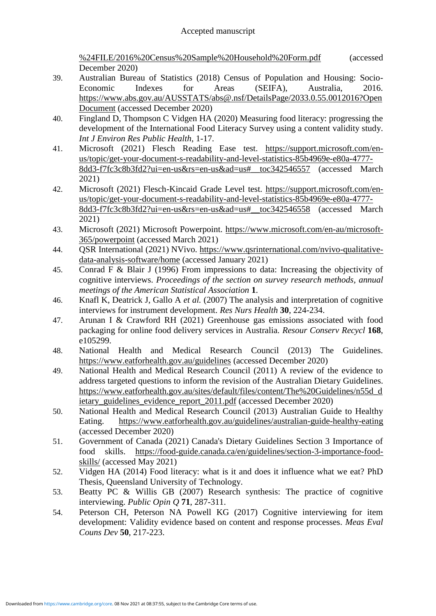%24FILE/2016%20Census%20Sample%20Household%20Form.pdf (accessed December 2020)

- 39. Australian Bureau of Statistics (2018) Census of Population and Housing: Socio-Economic Indexes for Areas (SEIFA), Australia, 2016. [https://www.abs.gov.au/AUSSTATS/abs@.nsf/DetailsPage/2033.0.55.0012016?Open](https://www.abs.gov.au/AUSSTATS/abs@.nsf/DetailsPage/2033.0.55.0012016?OpenDocument) [Document](https://www.abs.gov.au/AUSSTATS/abs@.nsf/DetailsPage/2033.0.55.0012016?OpenDocument) (accessed December 2020)
- 40. Fingland D, Thompson C Vidgen HA (2020) Measuring food literacy: progressing the development of the International Food Literacy Survey using a content validity study. *Int J Environ Res Public Health*, 1-17.
- 41. Microsoft (2021) Flesch Reading Ease test. [https://support.microsoft.com/en](https://support.microsoft.com/en-us/topic/get-your-document-s-readability-and-level-statistics-85b4969e-e80a-4777-8dd3-f7fc3c8b3fd2?ui=en-us&rs=en-us&ad=us#__toc342546557)[us/topic/get-your-document-s-readability-and-level-statistics-85b4969e-e80a-4777-](https://support.microsoft.com/en-us/topic/get-your-document-s-readability-and-level-statistics-85b4969e-e80a-4777-8dd3-f7fc3c8b3fd2?ui=en-us&rs=en-us&ad=us#__toc342546557) [8dd3-f7fc3c8b3fd2?ui=en-us&rs=en-us&ad=us#\\_\\_toc342546557](https://support.microsoft.com/en-us/topic/get-your-document-s-readability-and-level-statistics-85b4969e-e80a-4777-8dd3-f7fc3c8b3fd2?ui=en-us&rs=en-us&ad=us#__toc342546557) (accessed March 2021)
- 42. Microsoft (2021) Flesch-Kincaid Grade Level test. [https://support.microsoft.com/en](https://support.microsoft.com/en-us/topic/get-your-document-s-readability-and-level-statistics-85b4969e-e80a-4777-8dd3-f7fc3c8b3fd2?ui=en-us&rs=en-us&ad=us#__toc342546558)[us/topic/get-your-document-s-readability-and-level-statistics-85b4969e-e80a-4777-](https://support.microsoft.com/en-us/topic/get-your-document-s-readability-and-level-statistics-85b4969e-e80a-4777-8dd3-f7fc3c8b3fd2?ui=en-us&rs=en-us&ad=us#__toc342546558) [8dd3-f7fc3c8b3fd2?ui=en-us&rs=en-us&ad=us#\\_\\_toc342546558](https://support.microsoft.com/en-us/topic/get-your-document-s-readability-and-level-statistics-85b4969e-e80a-4777-8dd3-f7fc3c8b3fd2?ui=en-us&rs=en-us&ad=us#__toc342546558) (accessed March 2021)
- 43. Microsoft (2021) Microsoft Powerpoint. [https://www.microsoft.com/en-au/microsoft-](https://www.microsoft.com/en-au/microsoft-365/powerpoint)[365/powerpoint](https://www.microsoft.com/en-au/microsoft-365/powerpoint) (accessed March 2021)
- 44. QSR International (2021) NVivo. [https://www.qsrinternational.com/nvivo-qualitative](https://www.qsrinternational.com/nvivo-qualitative-data-analysis-software/home)[data-analysis-software/home](https://www.qsrinternational.com/nvivo-qualitative-data-analysis-software/home) (accessed January 2021)
- 45. Conrad F & Blair J (1996) From impressions to data: Increasing the objectivity of cognitive interviews. *Proceedings of the section on survey research methods, annual meetings of the American Statistical Association* **1**.
- 46. Knafl K, Deatrick J, Gallo A *et al.* (2007) The analysis and interpretation of cognitive interviews for instrument development. *Res Nurs Health* **30**, 224-234.
- 47. Arunan I & Crawford RH (2021) Greenhouse gas emissions associated with food packaging for online food delivery services in Australia. *Resour Conserv Recycl* **168**, e105299.
- 48. National Health and Medical Research Council (2013) The Guidelines. <https://www.eatforhealth.gov.au/guidelines> (accessed December 2020)
- 49. National Health and Medical Research Council (2011) A review of the evidence to address targeted questions to inform the revision of the Australian Dietary Guidelines. [https://www.eatforhealth.gov.au/sites/default/files/content/The%20Guidelines/n55d\\_d](https://www.eatforhealth.gov.au/sites/default/files/content/The%20Guidelines/n55d_dietary_guidelines_evidence_report_2011.pdf) [ietary\\_guidelines\\_evidence\\_report\\_2011.pdf](https://www.eatforhealth.gov.au/sites/default/files/content/The%20Guidelines/n55d_dietary_guidelines_evidence_report_2011.pdf) (accessed December 2020)
- 50. National Health and Medical Research Council (2013) Australian Guide to Healthy Eating. <https://www.eatforhealth.gov.au/guidelines/australian-guide-healthy-eating> (accessed December 2020)
- 51. Government of Canada (2021) Canada's Dietary Guidelines Section 3 Importance of food skills. [https://food-guide.canada.ca/en/guidelines/section-3-importance-food](https://food-guide.canada.ca/en/guidelines/section-3-importance-food-skills/)[skills/](https://food-guide.canada.ca/en/guidelines/section-3-importance-food-skills/) (accessed May 2021)
- 52. Vidgen HA (2014) Food literacy: what is it and does it influence what we eat? PhD Thesis, Queensland University of Technology.
- 53. Beatty PC & Willis GB (2007) Research synthesis: The practice of cognitive interviewing. *Public Opin Q* **71**, 287-311.
- 54. Peterson CH, Peterson NA Powell KG (2017) Cognitive interviewing for item development: Validity evidence based on content and response processes. *Meas Eval Couns Dev* **50**, 217-223.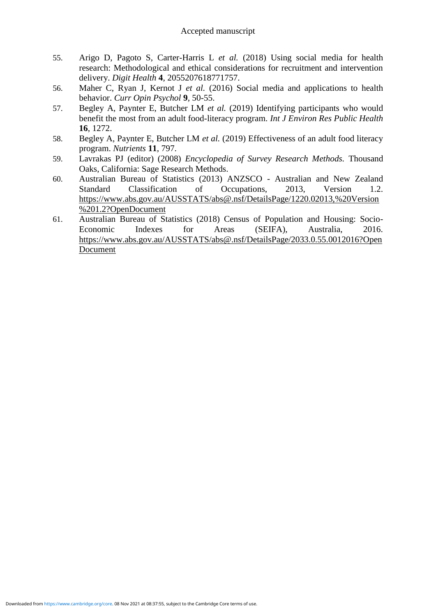- 55. Arigo D, Pagoto S, Carter-Harris L *et al.* (2018) Using social media for health research: Methodological and ethical considerations for recruitment and intervention delivery. *Digit Health* **4**, 2055207618771757.
- 56. Maher C, Ryan J, Kernot J *et al.* (2016) Social media and applications to health behavior. *Curr Opin Psychol* **9**, 50-55.
- 57. Begley A, Paynter E, Butcher LM *et al.* (2019) Identifying participants who would benefit the most from an adult food-literacy program. *Int J Environ Res Public Health* **16**, 1272.
- 58. Begley A, Paynter E, Butcher LM *et al.* (2019) Effectiveness of an adult food literacy program. *Nutrients* **11**, 797.
- 59. Lavrakas PJ (editor) (2008) *Encyclopedia of Survey Research Methods.* Thousand Oaks, California: Sage Research Methods.
- 60. Australian Bureau of Statistics (2013) ANZSCO Australian and New Zealand Standard Classification of Occupations, 2013, Version 1.2. [https://www.abs.gov.au/AUSSTATS/abs@.nsf/DetailsPage/1220.02013,%20Version](https://www.abs.gov.au/AUSSTATS/abs@.nsf/DetailsPage/1220.02013,%20Version%201.2?OpenDocument) [%201.2?OpenDocument](https://www.abs.gov.au/AUSSTATS/abs@.nsf/DetailsPage/1220.02013,%20Version%201.2?OpenDocument)
- 61. Australian Bureau of Statistics (2018) Census of Population and Housing: Socio-Economic Indexes for Areas (SEIFA), Australia, 2016. [https://www.abs.gov.au/AUSSTATS/abs@.nsf/DetailsPage/2033.0.55.0012016?Open](https://www.abs.gov.au/AUSSTATS/abs@.nsf/DetailsPage/2033.0.55.0012016?OpenDocument) [Document](https://www.abs.gov.au/AUSSTATS/abs@.nsf/DetailsPage/2033.0.55.0012016?OpenDocument)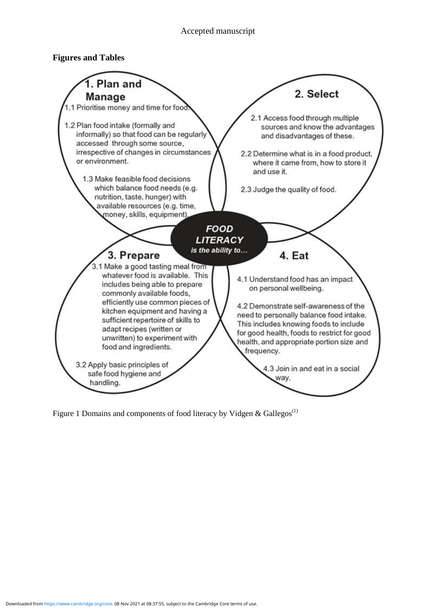## **Figures and Tables**



Figure 1 Domains and components of food literacy by Vidgen & Gallegos<sup>(1)</sup>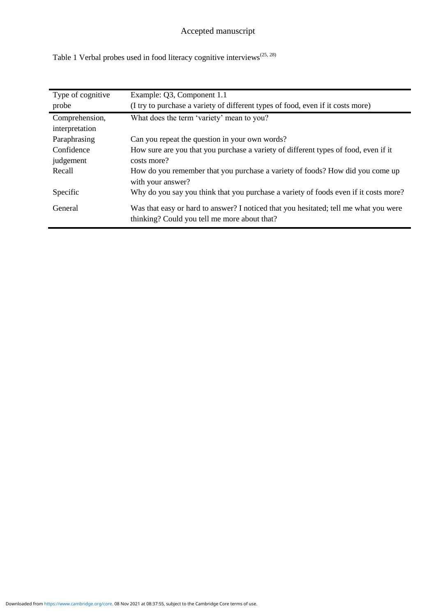Table 1 Verbal probes used in food literacy cognitive interviews<sup>(25, 28)</sup>

| Type of cognitive | Example: Q3, Component 1.1                                                           |
|-------------------|--------------------------------------------------------------------------------------|
| probe             | (I try to purchase a variety of different types of food, even if it costs more)      |
| Comprehension,    | What does the term 'variety' mean to you?                                            |
| interpretation    |                                                                                      |
| Paraphrasing      | Can you repeat the question in your own words?                                       |
| Confidence        | How sure are you that you purchase a variety of different types of food, even if it  |
| judgement         | costs more?                                                                          |
| Recall            | How do you remember that you purchase a variety of foods? How did you come up        |
|                   | with your answer?                                                                    |
| Specific          | Why do you say you think that you purchase a variety of foods even if it costs more? |
| General           | Was that easy or hard to answer? I noticed that you hesitated; tell me what you were |
|                   | thinking? Could you tell me more about that?                                         |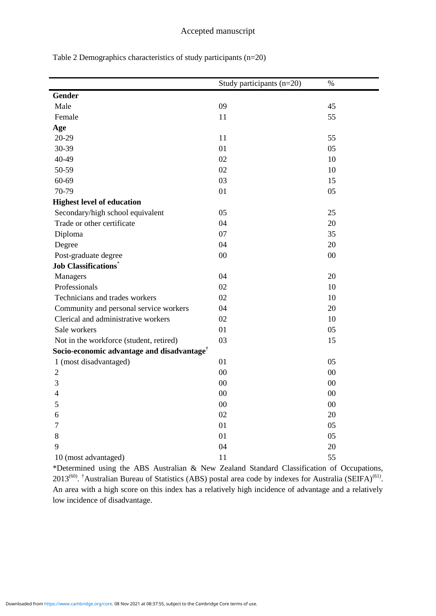| Table 2 Demographics characteristics of study participants $(n=20)$ |  |  |
|---------------------------------------------------------------------|--|--|
|                                                                     |  |  |

|                                                        | Study participants (n=20) | $\%$ |
|--------------------------------------------------------|---------------------------|------|
|                                                        |                           |      |
| Gender                                                 |                           |      |
| Male                                                   | 09                        | 45   |
| Female                                                 | 11                        | 55   |
| Age                                                    |                           |      |
| 20-29                                                  | 11                        | 55   |
| 30-39                                                  | 01                        | 05   |
| 40-49                                                  | 02                        | 10   |
| 50-59                                                  | 02                        | 10   |
| 60-69                                                  | 03                        | 15   |
| 70-79                                                  | 01                        | 05   |
| <b>Highest level of education</b>                      |                           |      |
| Secondary/high school equivalent                       | 05                        | 25   |
| Trade or other certificate                             | 04                        | 20   |
| Diploma                                                | 07                        | 35   |
| Degree                                                 | 04                        | 20   |
| Post-graduate degree                                   | $00\,$                    | 00   |
| <b>Job Classifications</b> *                           |                           |      |
| Managers                                               | 04                        | 20   |
| Professionals                                          | 02                        | 10   |
| Technicians and trades workers                         | 02                        | 10   |
| Community and personal service workers                 | 04                        | 20   |
| Clerical and administrative workers                    | 02                        | 10   |
| Sale workers                                           | 01                        | 05   |
| Not in the workforce (student, retired)                | 03                        | 15   |
| Socio-economic advantage and disadvantage <sup>†</sup> |                           |      |
| 1 (most disadvantaged)                                 | 01                        | 05   |
| $\mathfrak{2}$                                         | $00\,$                    | 00   |
| 3                                                      | 00                        | 00   |
| 4                                                      | 00                        | 00   |
| 5                                                      | $00\,$                    | 00   |
| 6                                                      | 02                        | 20   |
| 7                                                      | 01                        | 05   |
| 8                                                      | 01                        | 05   |
| 9                                                      | 04                        | 20   |
| 10 (most advantaged)                                   | 11                        | 55   |

\*Determined using the ABS Australian & New Zealand Standard Classification of Occupations,  $2013^{(60)}$ . <sup>†</sup>Australian Bureau of Statistics (ABS) postal area code by indexes for Australia (SEIFA)<sup>(61)</sup>. An area with a high score on this index has a relatively high incidence of advantage and a relatively low incidence of disadvantage.